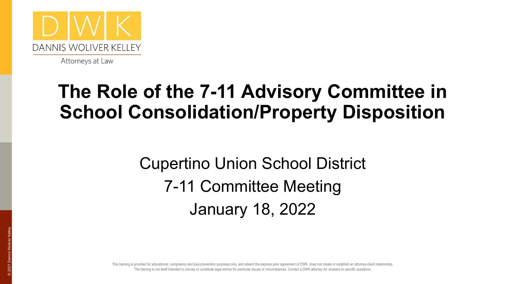

#### **The Role of the 7-11 Advisory Committee in School Consolidation/Property Disposition**

Cupertino Union School District 7-11 Committee Meeting January 18, 2022

For the training is not itself intended to convey or constitute legal advice for particular issues or circumstances. Contact a DWK attorney for answers to specific questions. This training is provided for educational, compliance and loss-prevention purposes only, and absent the express prior agreement of DWK, does not create or establish an attorney-client relationship.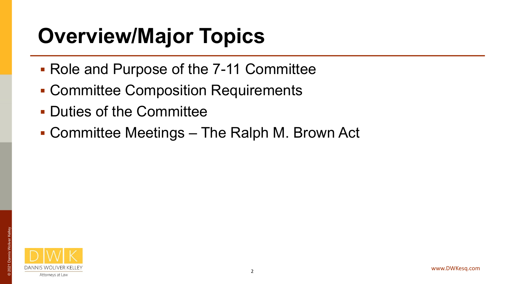## **Overview/Major Topics**

- Role and Purpose of the 7-11 Committee
- **EXECOMMITTEE Composition Requirements**
- Duties of the Committee
- Committee Meetings The Ralph M. Brown Act

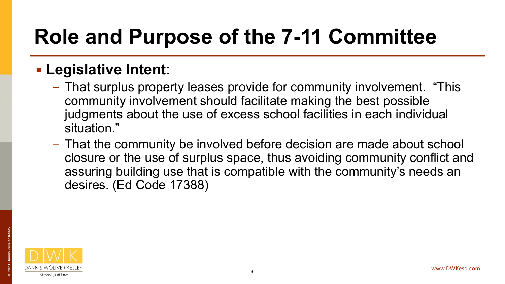### **Role and Purpose of the 7-11 Committee**

#### ▪ **Legislative Intent**:

- That surplus property leases provide for community involvement. "This community involvement should facilitate making the best possible judgments about the use of excess school facilities in each individual situation."
- That the community be involved before decision are made about school closure or the use of surplus space, thus avoiding community conflict and assuring building use that is compatible with the community's needs an desires. (Ed Code 17388)

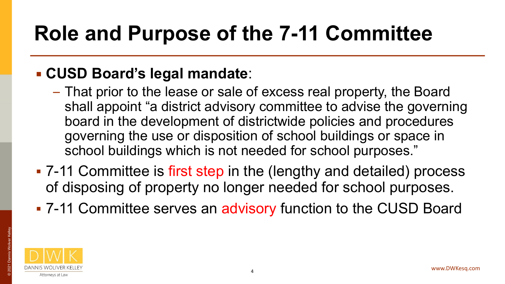### **Role and Purpose of the 7-11 Committee**

#### ▪ **CUSD Board's legal mandate**:

- That prior to the lease or sale of excess real property, the Board shall appoint "a district advisory committee to advise the governing board in the development of districtwide policies and procedures governing the use or disposition of school buildings or space in school buildings which is not needed for school purposes."
- 7-11 Committee is first step in the (lengthy and detailed) process of disposing of property no longer needed for school purposes.
- 7-11 Committee serves an advisory function to the CUSD Board

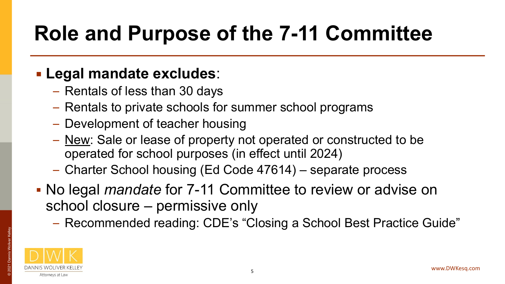### **Role and Purpose of the 7-11 Committee**

#### ▪ **Legal mandate excludes**:

- Rentals of less than 30 days
- Rentals to private schools for summer school programs
- Development of teacher housing
- New: Sale or lease of property not operated or constructed to be operated for school purposes (in effect until 2024)
- Charter School housing (Ed Code 47614) separate process
- No legal *mandate* for 7-11 Committee to review or advise on school closure – permissive only
	- Recommended reading: CDE's "Closing a School Best Practice Guide"



© 2021 Dannis Woliver Kelley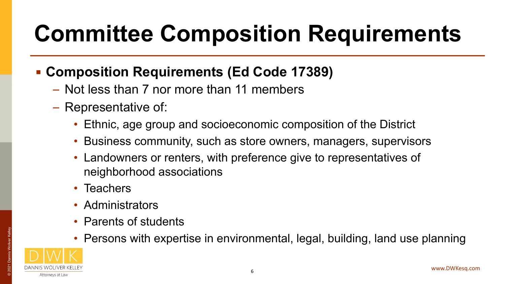# **Committee Composition Requirements**

#### ▪ **Composition Requirements (Ed Code 17389)**

- Not less than 7 nor more than 11 members
- Representative of:
	- Ethnic, age group and socioeconomic composition of the District
	- Business community, such as store owners, managers, supervisors
	- Landowners or renters, with preference give to representatives of neighborhood associations
	- Teachers
	- Administrators
	- Parents of students
	- Persons with expertise in environmental, legal, building, land use planning

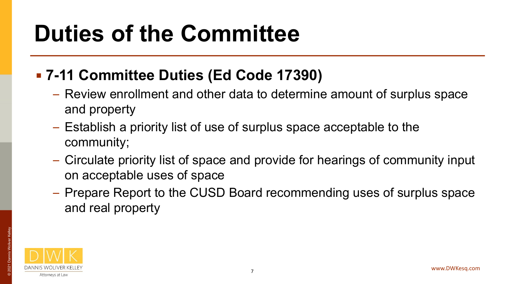## **Duties of the Committee**

#### ▪ **7-11 Committee Duties (Ed Code 17390)**

- Review enrollment and other data to determine amount of surplus space and property
- Establish a priority list of use of surplus space acceptable to the community;
- Circulate priority list of space and provide for hearings of community input on acceptable uses of space
- Prepare Report to the CUSD Board recommending uses of surplus space and real property

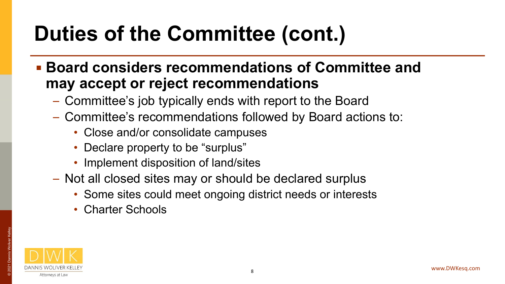## **Duties of the Committee (cont.)**

- **Board considers recommendations of Committee and may accept or reject recommendations**
	- Committee's job typically ends with report to the Board
	- Committee's recommendations followed by Board actions to:
		- Close and/or consolidate campuses
		- Declare property to be "surplus"
		- Implement disposition of land/sites
	- Not all closed sites may or should be declared surplus
		- Some sites could meet ongoing district needs or interests
		- Charter Schools



© 2021 Dannis Woliver Kelley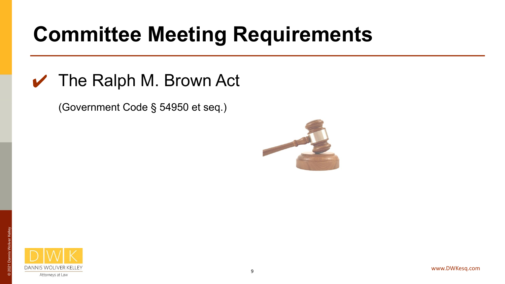### **Committee Meeting Requirements**

#### $\vee$  The Ralph M. Brown Act

(Government Code § 54950 et seq.)



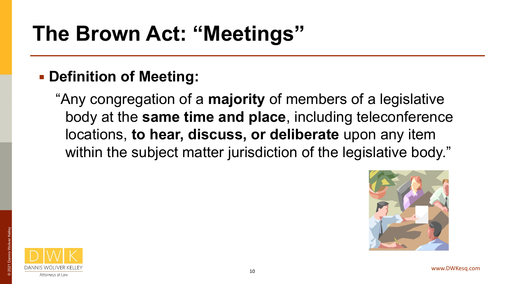### **The Brown Act: "Meetings"**

#### ▪ **Definition of Meeting:**

"Any congregation of a **majority** of members of a legislative body at the **same time and place**, including teleconference locations, **to hear, discuss, or deliberate** upon any item within the subject matter jurisdiction of the legislative body."



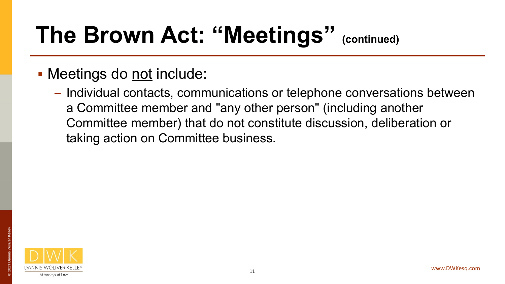## **The Brown Act: "Meetings" (continued)**

- Meetings do <u>not</u> include:
	- Individual contacts, communications or telephone conversations between a Committee member and "any other person" (including another Committee member) that do not constitute discussion, deliberation or taking action on Committee business.

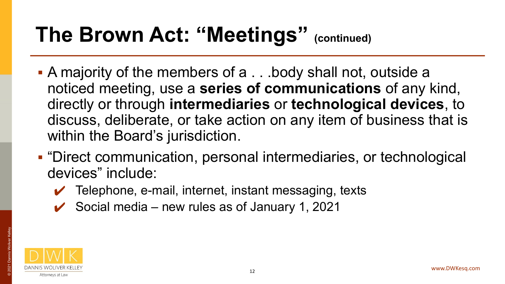### **The Brown Act: "Meetings" (continued)**

- A majority of the members of a . . .body shall not, outside a noticed meeting, use a **series of communications** of any kind, directly or through **intermediaries** or **technological devices**, to discuss, deliberate, or take action on any item of business that is within the Board's jurisdiction.
- "Direct communication, personal intermediaries, or technological devices" include:
	- $\vee$  Telephone, e-mail, internet, instant messaging, texts
	- $\checkmark$  Social media new rules as of January 1, 2021

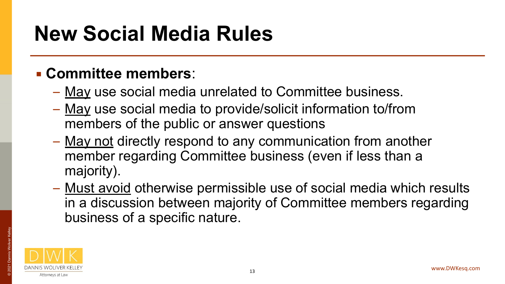### **New Social Media Rules**

#### ▪ **Committee members**:

- May use social media unrelated to Committee business.
- May use social media to provide/solicit information to/from members of the public or answer questions
- May not directly respond to any communication from another member regarding Committee business (even if less than a majority).
- Must avoid otherwise permissible use of social media which results in a discussion between majority of Committee members regarding business of a specific nature.

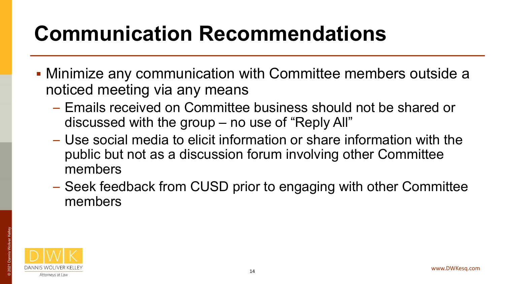### **Communication Recommendations**

- Minimize any communication with Committee members outside a noticed meeting via any means
	- Emails received on Committee business should not be shared or discussed with the group – no use of "Reply All"
	- Use social media to elicit information or share information with the public but not as a discussion forum involving other Committee members
	- Seek feedback from CUSD prior to engaging with other Committee members



© 2021 Dannis Woliver Kelley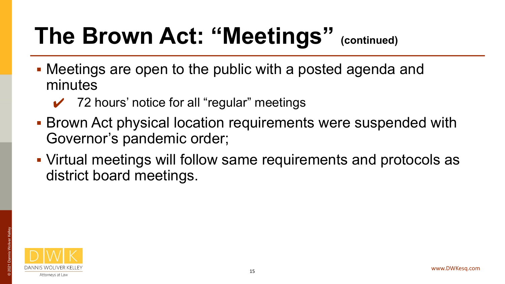## **The Brown Act: "Meetings" (continued)**

- Meetings are open to the public with a posted agenda and minutes
	- $\checkmark$  72 hours' notice for all "regular" meetings
- **EXECT BROWER ACT physical location requirements were suspended with** Governor's pandemic order;
- Virtual meetings will follow same requirements and protocols as district board meetings.